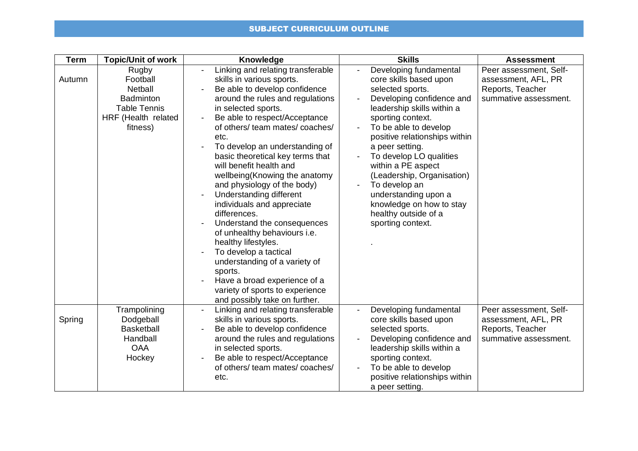## SUBJECT CURRICULUM OUTLINE

| <b>Term</b> | <b>Topic/Unit of work</b>                                                                                  | Knowledge                                                                                                                                                                                                                                                                                                                                                                                                                                                                                                                                                                                                                                                                                                                                        | <b>Skills</b>                                                                                                                                                                                                                                                                                                                                                                                                                                                  | <b>Assessment</b>                                                                          |
|-------------|------------------------------------------------------------------------------------------------------------|--------------------------------------------------------------------------------------------------------------------------------------------------------------------------------------------------------------------------------------------------------------------------------------------------------------------------------------------------------------------------------------------------------------------------------------------------------------------------------------------------------------------------------------------------------------------------------------------------------------------------------------------------------------------------------------------------------------------------------------------------|----------------------------------------------------------------------------------------------------------------------------------------------------------------------------------------------------------------------------------------------------------------------------------------------------------------------------------------------------------------------------------------------------------------------------------------------------------------|--------------------------------------------------------------------------------------------|
| Autumn      | Rugby<br>Football<br>Netball<br><b>Badminton</b><br><b>Table Tennis</b><br>HRF (Health related<br>fitness) | Linking and relating transferable<br>skills in various sports.<br>Be able to develop confidence<br>around the rules and regulations<br>in selected sports.<br>Be able to respect/Acceptance<br>of others/ team mates/ coaches/<br>etc.<br>To develop an understanding of<br>basic theoretical key terms that<br>will benefit health and<br>wellbeing (Knowing the anatomy<br>and physiology of the body)<br>Understanding different<br>individuals and appreciate<br>differences.<br>Understand the consequences<br>of unhealthy behaviours i.e.<br>healthy lifestyles.<br>To develop a tactical<br>understanding of a variety of<br>sports.<br>Have a broad experience of a<br>variety of sports to experience<br>and possibly take on further. | Developing fundamental<br>$\overline{\phantom{a}}$<br>core skills based upon<br>selected sports.<br>Developing confidence and<br>leadership skills within a<br>sporting context.<br>To be able to develop<br>positive relationships within<br>a peer setting.<br>To develop LO qualities<br>within a PE aspect<br>(Leadership, Organisation)<br>To develop an<br>understanding upon a<br>knowledge on how to stay<br>healthy outside of a<br>sporting context. | Peer assessment, Self-<br>assessment, AFL, PR<br>Reports, Teacher<br>summative assessment. |
| Spring      | Trampolining<br>Dodgeball<br><b>Basketball</b><br>Handball<br><b>OAA</b><br>Hockey                         | Linking and relating transferable<br>skills in various sports.<br>Be able to develop confidence<br>around the rules and regulations<br>in selected sports.<br>Be able to respect/Acceptance<br>of others/ team mates/ coaches/<br>etc.                                                                                                                                                                                                                                                                                                                                                                                                                                                                                                           | Developing fundamental<br>core skills based upon<br>selected sports.<br>Developing confidence and<br>leadership skills within a<br>sporting context.<br>To be able to develop<br>positive relationships within<br>a peer setting.                                                                                                                                                                                                                              | Peer assessment, Self-<br>assessment, AFL, PR<br>Reports, Teacher<br>summative assessment. |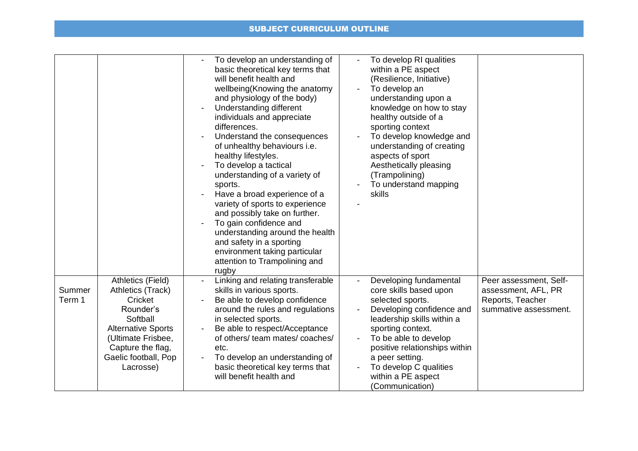## SUBJECT CURRICULUM OUTLINE

|                  |                                                                                                                                                                                         | To develop RI qualities<br>To develop an understanding of<br>basic theoretical key terms that<br>within a PE aspect<br>will benefit health and<br>(Resilience, Initiative)<br>wellbeing(Knowing the anatomy<br>To develop an<br>and physiology of the body)<br>understanding upon a<br>Understanding different<br>knowledge on how to stay<br>individuals and appreciate<br>healthy outside of a<br>sporting context<br>differences.<br>To develop knowledge and<br>Understand the consequences<br>of unhealthy behaviours i.e.<br>understanding of creating<br>healthy lifestyles.<br>aspects of sport<br>To develop a tactical<br>Aesthetically pleasing<br>understanding of a variety of<br>(Trampolining)<br>To understand mapping<br>sports.<br>Have a broad experience of a<br>skills<br>variety of sports to experience<br>and possibly take on further.<br>To gain confidence and<br>understanding around the health<br>and safety in a sporting<br>environment taking particular<br>attention to Trampolining and<br>rugby |
|------------------|-----------------------------------------------------------------------------------------------------------------------------------------------------------------------------------------|-------------------------------------------------------------------------------------------------------------------------------------------------------------------------------------------------------------------------------------------------------------------------------------------------------------------------------------------------------------------------------------------------------------------------------------------------------------------------------------------------------------------------------------------------------------------------------------------------------------------------------------------------------------------------------------------------------------------------------------------------------------------------------------------------------------------------------------------------------------------------------------------------------------------------------------------------------------------------------------------------------------------------------------|
| Summer<br>Term 1 | Athletics (Field)<br>Athletics (Track)<br>Cricket<br>Rounder's<br>Softball<br><b>Alternative Sports</b><br>(Ultimate Frisbee,<br>Capture the flag,<br>Gaelic football, Pop<br>Lacrosse) | Linking and relating transferable<br>Developing fundamental<br>Peer assessment, Self-<br>skills in various sports.<br>core skills based upon<br>assessment, AFL, PR<br>Be able to develop confidence<br>selected sports.<br>Reports, Teacher<br>summative assessment.<br>around the rules and regulations<br>Developing confidence and<br>in selected sports.<br>leadership skills within a<br>Be able to respect/Acceptance<br>sporting context.<br>of others/ team mates/ coaches/<br>To be able to develop<br>positive relationships within<br>etc.<br>To develop an understanding of<br>a peer setting.<br>basic theoretical key terms that<br>To develop C qualities<br>will benefit health and<br>within a PE aspect<br>(Communication)                                                                                                                                                                                                                                                                                       |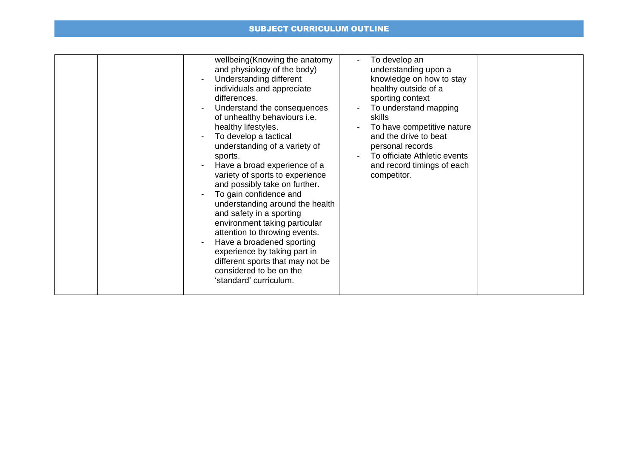## SUBJECT CURRICULUM OUTLINE